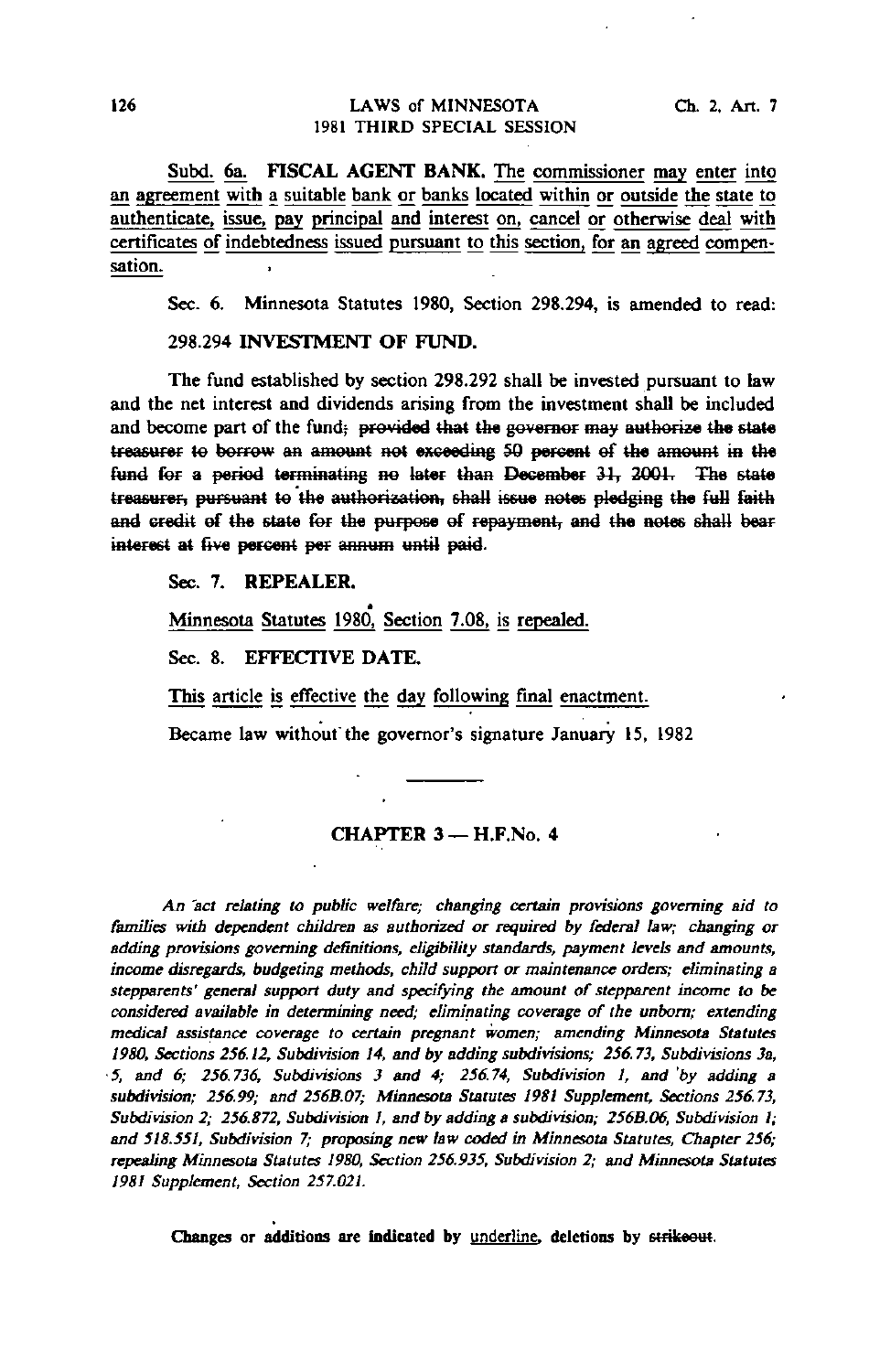Subd. 6a. FISCAL AGENT BANK. The commissioner may enter into an agreement with a suitable bank or banks located within or outside the state to authenticate, issue, pay principal and interest on, cancel or otherwise deal with certificates of indebtedness issued pursuant to this section, for an agreed compensation.

Sec. 6. Minnesota Statutes 1980, Section 298.294, is amended to read:

298.294 INVESTMENT OF FUND.

The fund established by section 298.292 shall be invested pursuant to law and the net interest and dividends arising from the investment shall be included and become part of the fund; provided that the governor may authorize the state treasurer to borrow an amount not exceeding 50 percent of the amount in the fund for a period terminating no later than December 31, 2001. The state treasurer, pursuant te the authorization, shall issue notes pledging the full faith and credit of the state for the purpose of repayment, and the notes shall bear interest at five percent per annum until paid.

Sec. 7. REPEALER.

Minnesota Statutes 1980, Section 7.08, is repealed.

Sec. 8. EFFECTIVE DATE.

This article is effective the day following final enactment.

Became law without'the governor's signature January 15, 1982

# CHAPTER 3-H.F.No. 4

An "act relating to public welfare; changing certain provisions governing aid to families with dependent children as authorized or required by federal law; changing or adding provisions governing definitions, eligibility standards, payment levels and amounts, income disregards, budgeting methods, child support or maintenance orders; eliminating a stepparents' general support duty and specifying the amount of stepparent income to be considered available in determining need; eliminating coverage of the unborn; extending medical assistance coverage to certain pregnant women; amending Minnesota Statutes 1980, Sections 256.12, Subdivision 14, and by adding subdivisions; 256.73, Subdivisions 3a, • 5, and 6; 256.736, Subdivisions 3 and 4; 256.74, Subdivision I, and 'by adding a subdivision; 256.99; and 256B.07; Minnesota Statutes 1981 Supplement, Sections 256.73, Subdivision 2; 256.872, Subdivision 1, and by adding a subdivision; 256B.06, Subdivision 1; and 518.551, Subdivision 7; proposing new law coded in Minnesota Statutes, Chapter 256; repealing Minnesota Statutes 1980, Section 256.935, Subdivision 2; and Minnesota Statutes 1981 Supplement, Section 257.021.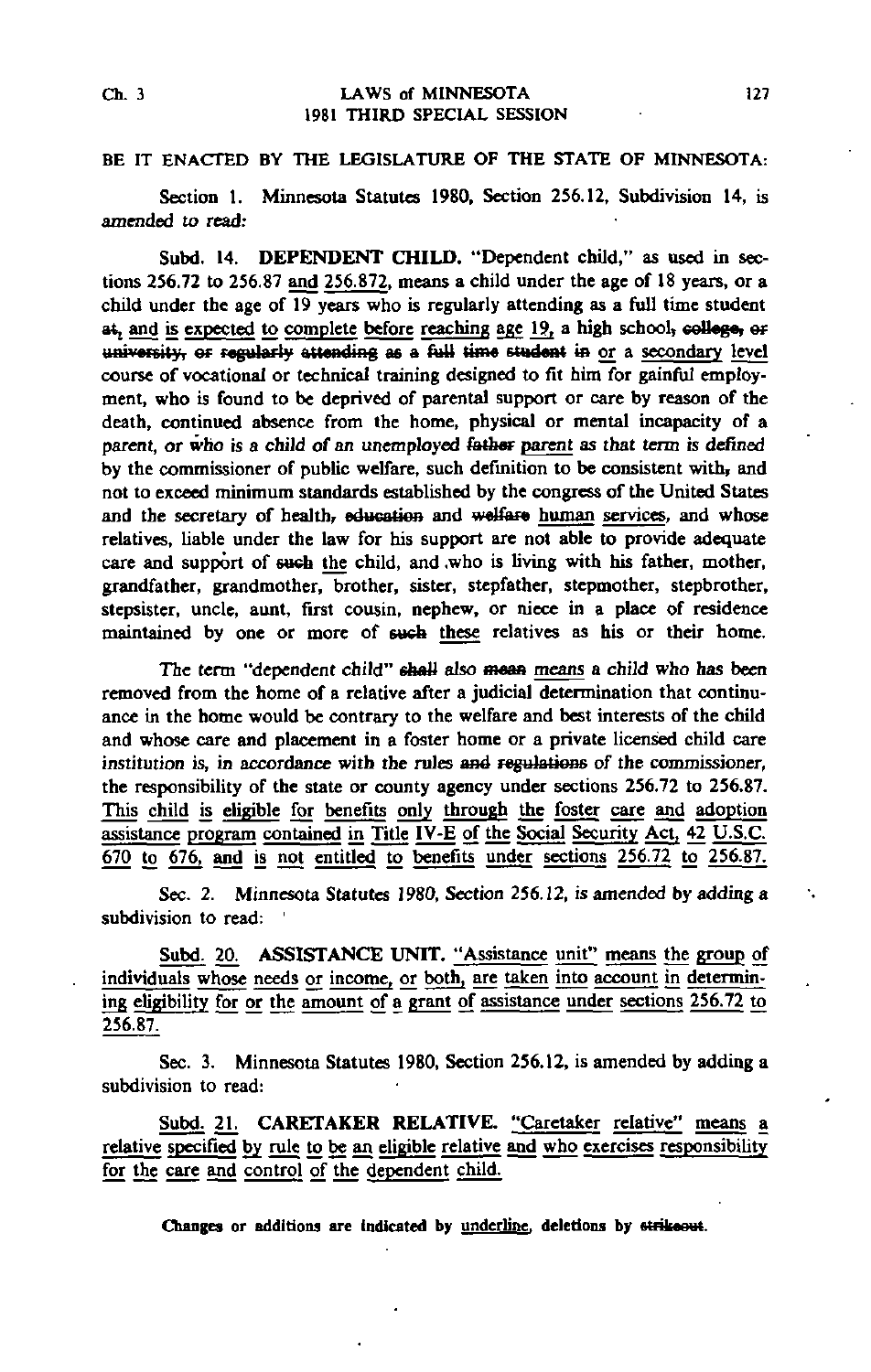### Ch. 3 LAWS of MINNESOTA 127 1981 THIRD SPECIAL SESSION

## BE IT ENACTED BY THE LEGISLATURE OF THE STATE OF MINNESOTA:

Section 1. Minnesota Statutes 1980, Section 256.12, Subdivision 14, is amended to read:

Subd. 14. DEPENDENT CHILD. "Dependent child," as used in sections 256.72 to 256.87 and 256.872, means a child under the age of 18 years, or a child under the age of  $\overline{19}$  years who is regularly attending as a full time student at, and is expected to complete before reaching age 19, a high school, college, or  $university$ , or regularly attending as a full time student in or a secondary level course of vocational or technical training designed to fit him for gainful employment, who is found to be deprived of parental support or care by reason of the death, continued absence from the home, physical or mental incapacity of a parent, or who is a child of an unemployed father parent as that term is defined by the commissioner of public welfare, such definition to be consistent with, and not to exceed minimum standards established by the congress of the United States and the secretary of health, education and welfare human services, and whose relatives, liable under the law for his support are not able to provide adequate care and support of such the child, and who is living with his father, mother, grandfather, grandmother, brother, sister, stepfather, stepmother, stepbrother, stepsister, uncle, aunt, first cousin, nephew, or niece in a place of residence maintained by one or more of such these relatives as his or their home.

The term "dependent child" shall also mean means a child who has been removed from the home of a relative after a judicial determination that continuance in the home would be contrary to the welfare and best interests of the child and whose care and placement in a foster home or a private licensed child care institution is, in accordance with the rules and regulations of the commissioner, the responsibility of the state or county agency under sections 256.72 to 256.87. This child is eligible for benefits only through the foster care and adoption assistance program contained in Title IV-E of the Social Security Act, 42 U.S.C. 670 to 676, and is not entitled to benefits under sections 256.72 to 256.87.

Sec. 2. Minnesota Statutes 1980, Section 256.12, is amended by adding a subdivision to read: '

Subd. 20. ASSISTANCE UNIT. "Assistance unit" means the group of individuals whose needs or income, or both, are taken into account in determining eligibility for or the amount of a grant of assistance under sections 256.72 to 256.87.

Sec. 3. Minnesota Statutes 1980, Section 256.12, is amended by adding a subdivision to read:

Subd. 21. CARETAKER RELATIVE. "Caretaker relative" means a relative specified by rule to be an eligible relative and who exercises responsibility for the care and control of the dependent child.

Changes or additions are indicated by underline, deletions by strikeout.

۰.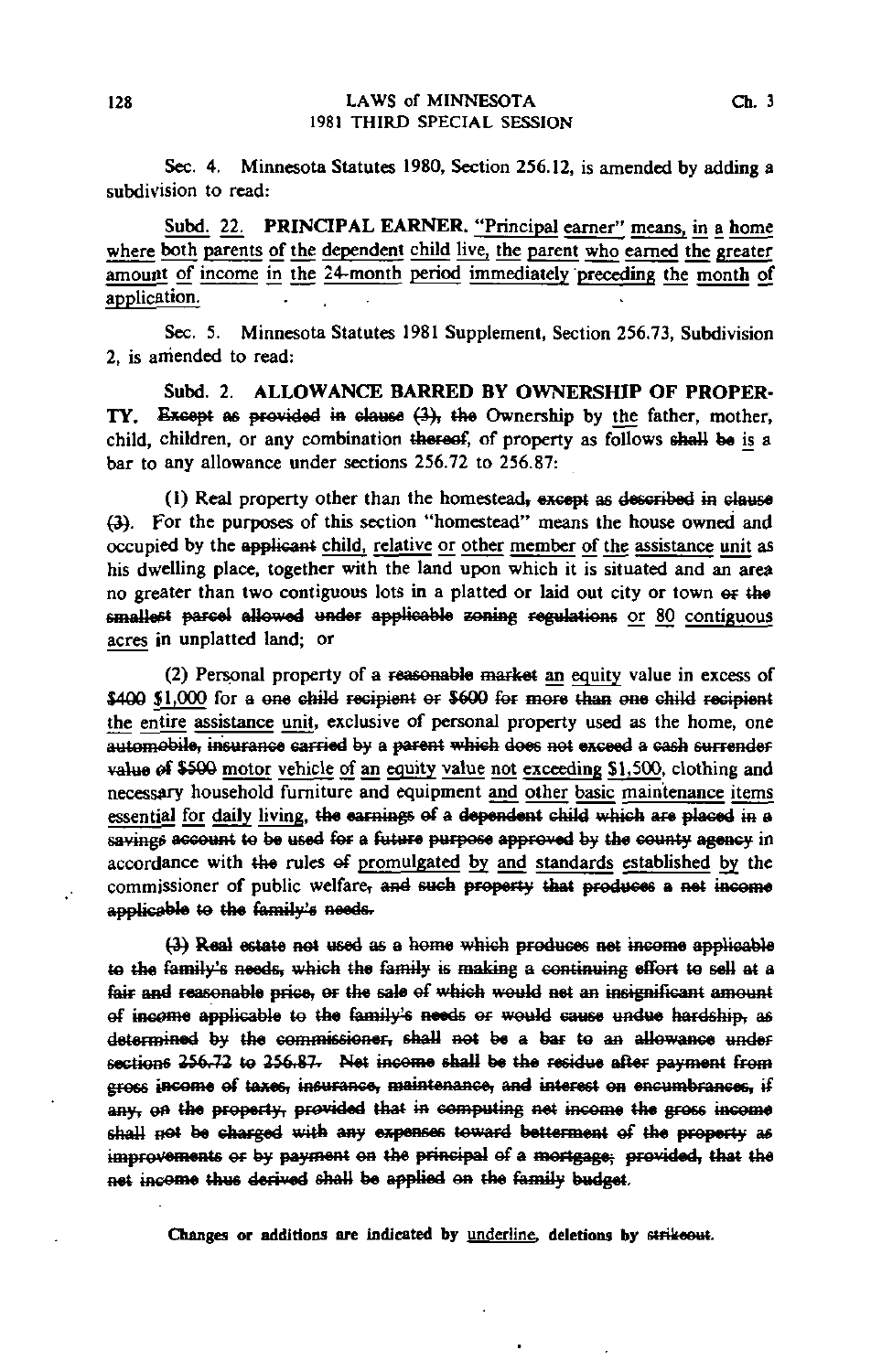Sec. 4. Minnesota Statutes 1980, Section 256.12, is amended by adding a subdivision to read:

Subd. 22. PRINCIPAL EARNER. "Principal earner" means, in a home where both parents of the dependent child live, the parent who earned the greater amount of income in the 24-month period immediately preceding the month of application.

Sec. 5. Minnesota Statutes 1981 Supplement, Section 256.73, Subdivision 2, is amended to read:

Subd. 2. ALLOWANCE BARRED BY OWNERSHIP OF PROPER-TY. Except as provided in clause (3), the Ownership by the father, mother, child, children, or any combination thereof, of property as follows shall be is a bar to any allowance under sections 256.72 to 256.87:

(1) Real property other than the homestead, except as described ia clause (3). For the purposes of this section "homestead" means the house owned and occupied by the applicant child, relative or other member of the assistance unit as his dwelling place, together with the land upon which it is situated and an area no greater than two contiguous lots in a platted or laid out city or town or the smallest parcel allowed under applicable zoning regulations or 80 contiguous acres in unplatted land; or

(2) Personal property of a reasonable market an equity value in excess of \$400 \$1,000 for a one child recipient or \$600 for more than one child recipient the entire assistance unit, exclusive of personal property used as the home, one  $\overline{\text{autom}}$ obile, insurance sarried by a parent which does not exceed a cash surrender value of \$500 motor vehicle of an equity value not exceeding \$1,500, clothing and necessary household furniture and equipment and other basic maintenance items essential for daily living, the earnings ef a dependent child which are placed in a savings account to be used for a future purpose approved by the county agency in accordance with the rules ef promulgated by and standards established by the commissioner of public welfare, and such property that produces a net income applicable to the family's needs.

(4) Real estate aet used as a home which produces aet income applicable to the family's needs, which the family is making a continuing effort to sell at a fair and reasonable price, or the sale of which would net an insignificant amount of income applicable to the family's needs or would cause undue hardship, as determined by the commissioner, shall aet be a bar te aa allowance under sections 256.72 to 256.87. Net income shall be the residue after payment from gross income ef taxes, insurance, maintenance, and interest on encumbrances, ifany, on the property, provided that in computing net income the gross income shall not be charged with any expenses toward betterment of the property as improvements or by payment on the principal of a mortgage; provided, that the n the family

Changes or additions are indicated by underline, deletions by strikeout.

 $\ddot{\cdot}$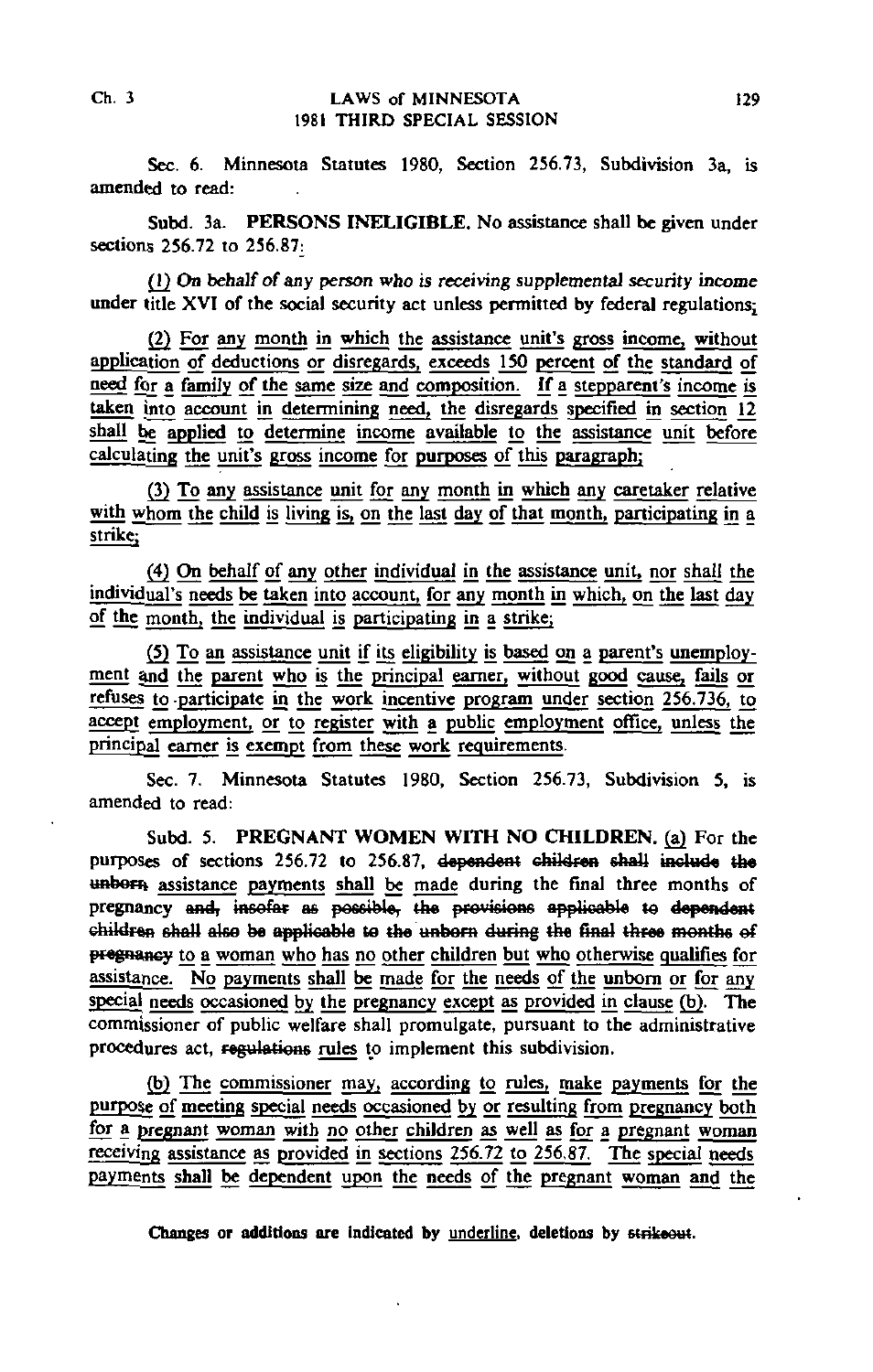Sec. 6. Minnesota Statutes 1980, Section 256.73, Subdivision 3a, is amended to read:

Subd. 3a. PERSONS INELIGIBLE. No assistance shall be given under sections 256.72 to 256.87:

(1) On behalf of any person who is receiving supplemental security income under title XVI of the social security act unless permitted by federal regulations;

(2) For any month in which the assistance unit's gross income, without application of deductions or disregards, exceeds 150 percent of the standard of need for a family of the same size and composition. If a stepparent's income is taken into account in determining need, the disregards specified in section 12 shall be applied to determine income available to the assistance unit before calculating the unit's gross income for purposes of this paragraph;

(3) To any assistance unit for any month in which any caretaker relative with whom the child is living is, on the last day of that month, participating in a strike;

(4) On behalf of any other individual in the assistance unit, nor shall the individual's needs be taken into account, for any month in which, on the last day of the month; the individual is participating in a strike;

(5) To an assistance unit if its eligibility is based on a parent's unemployment and the parent who is the principal earner, without good cause, fails or refuses to -participate in the work incentive program under section 256.736, to accept employment, or to register with a public employment office, unless the principal earner is exempt from these work requirements.

Sec. 7. Minnesota Statutes 1980, Section 256.73, Subdivision 5, is amended to read:

Subd. 5. PREGNANT WOMEN WITH NO CHILDREN, (a) For the purposes of sections 256.72 to 256.87, dependent children shall include the unborn assistance payments shall be made during the final three months of pregnancy and, insofar as possible, the provisions applicable to dependent children shall also be applicable to the unborn during the final three months of pregnancy to a woman who has no other children but who otherwise qualifies for assistance. No payments shall be made for the needs of the unborn or for any special needs occasioned by the pregnancy except as provided in clause (b). The commissioner of public welfare shall promulgate, pursuant to the administrative procedures act, regulations rules to implement this subdivision.

(b) The commissioner may, according to rules, make payments for the purpose of meeting special needs occasioned by or resulting from pregnancy both for a pregnant woman with no other children as well as for a pregnant woman receiving assistance as provided in sections 256.72 to 256.87. The special needs payments shall be dependent upon the needs of the pregnant woman and the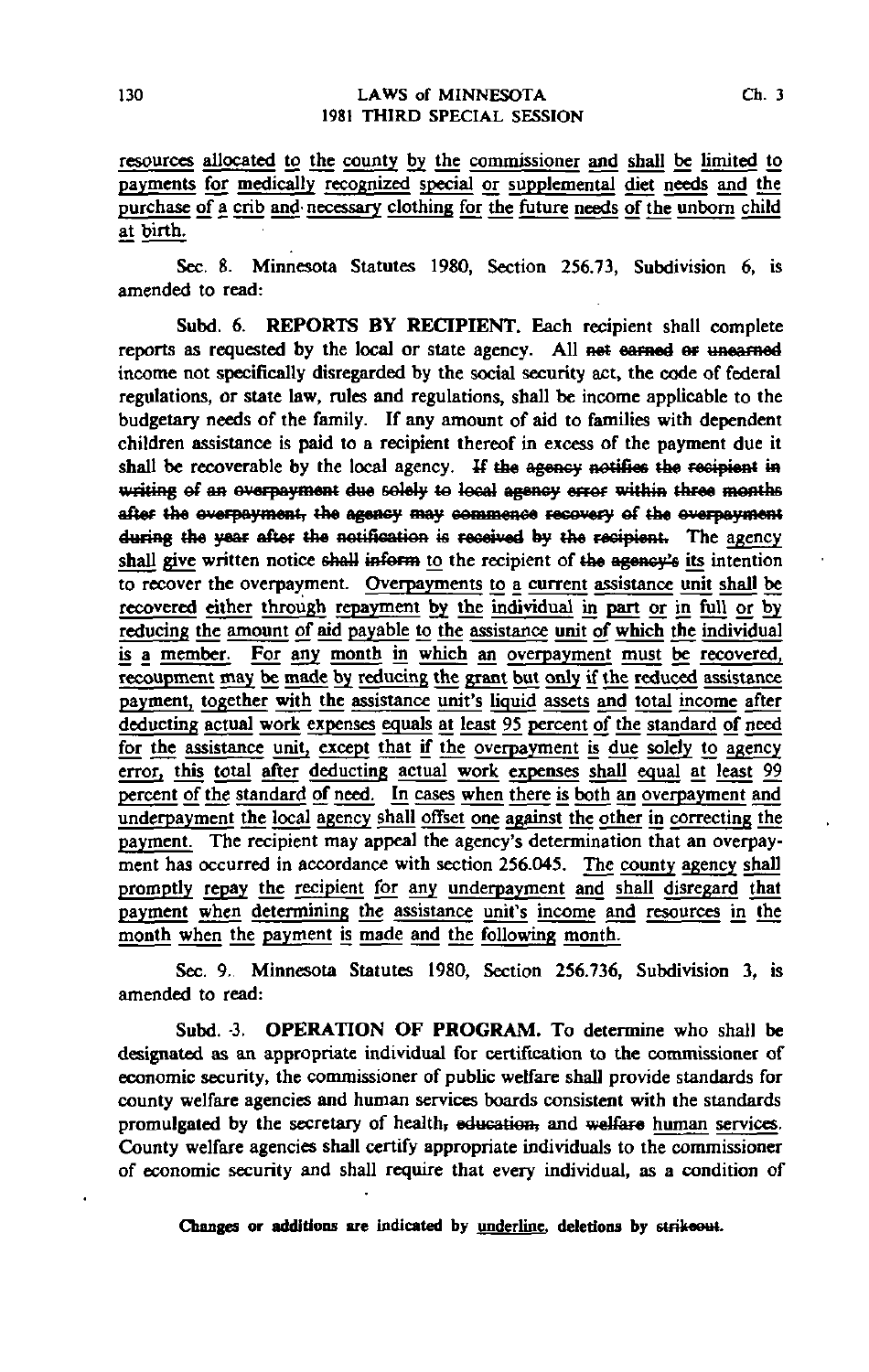resources allocated to the county by the commissioner and shall be limited to payments for medically recognized special or supplemental diet needs and the purchase of a crib and' necessary clothing for the future needs of the unborn child at birth.

Sec. 8. Minnesota Statutes 1980, Section 256.73, Subdivision 6, is amended to read:

Subd. 6. REPORTS BY RECIPIENT, Each recipient shall complete reports as requested by the local or state agency. All net earned or unearned income not specifically disregarded by the social security act, the code of federal regulations, or state law, rules and regulations, shall be income applicable to the budgetary needs of the family. If any amount of aid to families with dependent children assistance is paid to a recipient thereof in excess of the payment due it shall be recoverable by the local agency. If the agency notifies the recipient in writing of an overpayment due solely to local agency error within three months after the overpayment, the agency may commence recovery of the overpayment during the year after the notification is received by the recipient. The agency shall give written notice shall inform to the recipient of the agency's its intention to recover the overpayment. Overpayments to a current assistance unit shall be recovered either through repayment by the individual in part or in full or by reducing the amount of aid payable to the assistance unit of which the individual is a member. For any month in which an overpayment must be recovered, recoupment may be made by reducing the grant but only if the reduced assistance payment, together with the assistance unit's liquid assets and total income after deducting actual work expenses equals at least 95 percent of the standard of need for the assistance unit, except that if the overpayment is due solely to agency error, this total after deducting actual work expenses shall equal at least 99 percent of the standard of need. In cases when there is both an overpayment and underpayment the local agency shall offset one against the other in correcting the payment. The recipient may appeal the agency's determination that an overpayment has occurred in accordance with section 256.045. The county agency shall promptly repay the recipient for any underpayment and shall disregard that payment when determining the assistance unit's income and resources in the month when the payment is made and the following month.

Sec. 9. Minnesota Statutes 1980, Section 256.736, Subdivision 3, is amended to read:

Subd. 3. **OPERATION OF PROGRAM.** To determine who shall be designated as an appropriate individual for certification to the commissioner of economic security, the commissioner of public welfare shall provide standards for county welfare agencies and human services boards consistent with the standards promulgated by the secretary of health, education, and welfare human services. County welfare agencies shall certify appropriate individuals to the commissioner of economic security and shall require that every individual, as a condition of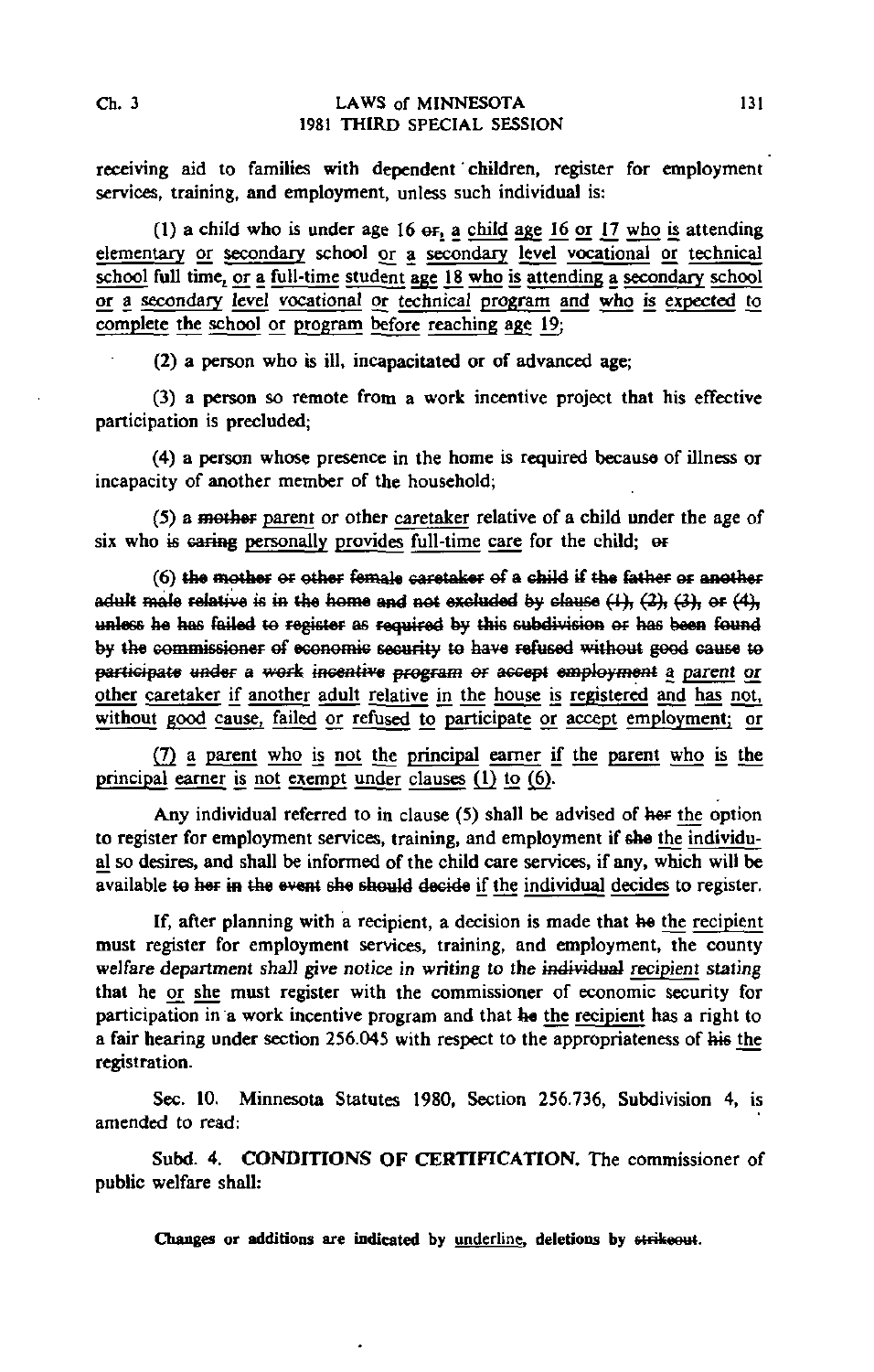receiving aid to families with dependent' children, register for employment services, training, and employment, unless such individual is:

(1) a child who is under age  $16$  or, a child age  $16$  or  $17$  who is attending elementary or secondary school or a secondary level vocational or technical school full time, or a full-time student age 18 who is attending a secondary school or a secondary level vocational or technical program and who is expected to complete the school or program before reaching age  $19$ ;

(2) a person who is ill, incapacitated or of advanced age;

(3) a person so remote from a work incentive project that his effective participation is precluded;

(4) a person whose presence in the home is required because of illness or incapacity of another member of the household;

(5) a mother parent or other caretaker relative of a child under the age of six who is caring personally provides full-time care for the child; or

 $(6)$  the mother or other female caretaker of a child if the father or another adult male relative is in the home and not excluded by clause  $(1)$ ,  $(2)$ ,  $(3)$ , or  $(4)$ . unless he has failed to register as required by this subdivision or has been found by the commissioner of economic security to have refused without good cause to participate under a work incentive program or accept employment a parent or other caretaker if another adult relative in the house is registered and has npt, without good cause, failed or refused to participate or accept employment; or

(7) a parent who is not the principal earner if the parent who is the principal earner is not exempt under clauses (1) to (6).

Any individual referred to in clause (5) shall be advised of her the option to register for employment services, training, and employment if she the individual so desires, and shall be informed of the child care services, if any, which will be available to her in the event she should decide if the individual decides to register.

If, after planning with a recipient, a decision is made that he the recipient must register for employment services, training, and employment, the county welfare department shall give notice in writing to the individual recipient stating that he or she must register with the commissioner of economic security for participation in a work incentive program and that he the recipient has a right to a fair hearing under section 256.045 with respect to the appropriateness of his the registration.

Sec. 10. Minnesota Statutes 1980, Section 256.736, Subdivision 4, is amended to read:

Subd. 4. CONDITIONS OF CERTIFICATION. The commissioner of public welfare shall: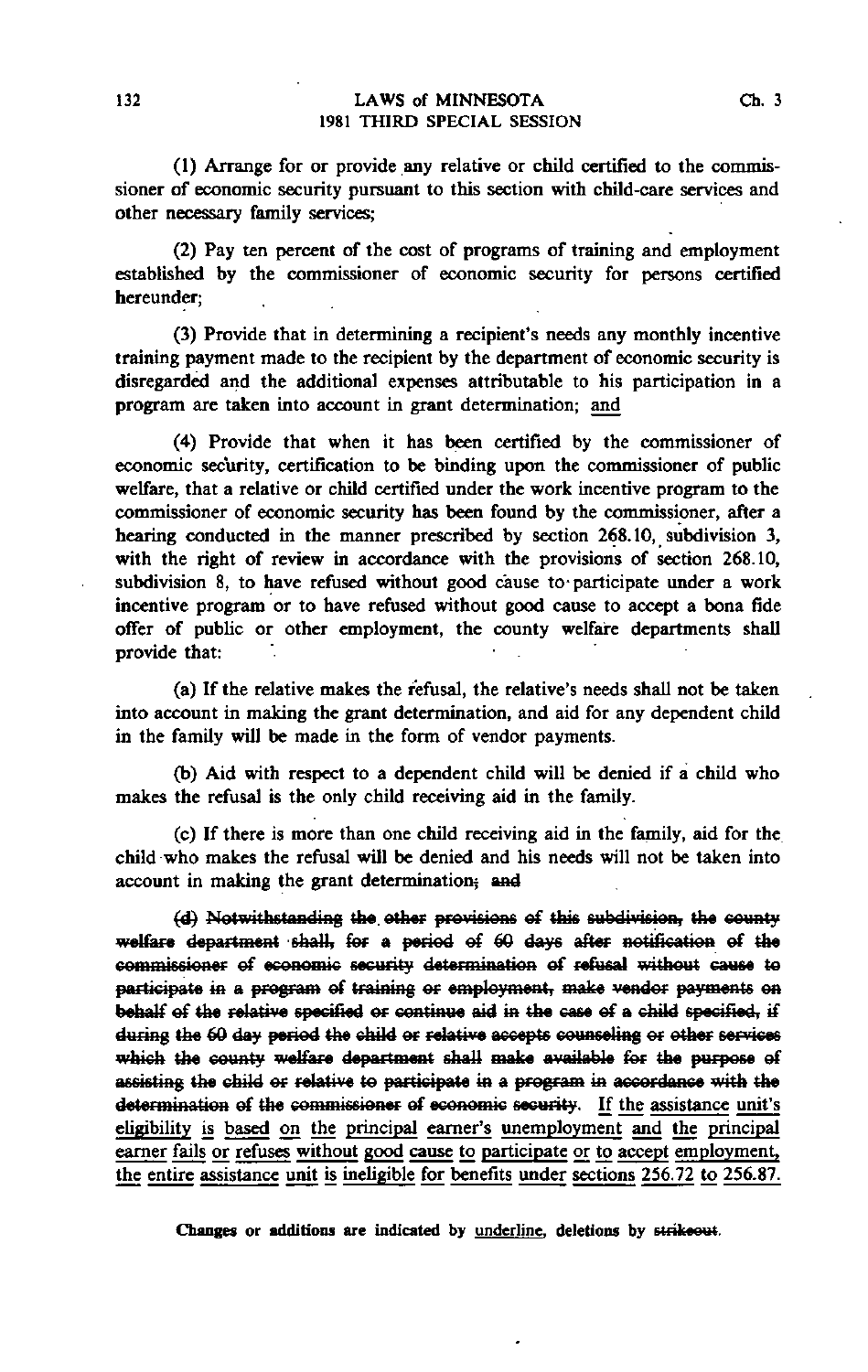(1) Arrange for or provide any relative or child certified to the commissioner of economic security pursuant to this section with child-care services and other necessary family services;

(2) Pay ten percent of the cost of programs of training and employment established by the commissioner of economic security for persons certified hereunder;

(3) Provide that in determining a recipient's needs any monthly incentive training payment made to the recipient by the department of economic security is disregarded and the additional expenses attributable to his participation in a program are taken into account in grant determination; and

(4) Provide that when it has been certified by the commissioner of economic security, certification to be binding upon the commissioner of public welfare, that a relative or child certified under the work incentive program to the commissioner of economic security has been found by the commissioner, after a hearing conducted in the manner prescribed by section 268.10, subdivision 3, with the right of review in accordance with the provisions of section 268.10, subdivision 8, to have refused without good cause to-participate under a work incentive program or to have refused without good cause to accept a bona fide offer of public or other employment, the county welfare departments shall provide that:

(a) If the relative makes the refusal, the relative's needs shall not be taken into account in making the grant determination, and aid for any dependent child in the family will be made in the form of vendor payments.

(b) Aid with respect to a dependent child will be denied if a child who makes the refusal is the only child receiving aid in the family.

(c) If there is more than one child receiving aid in the family, aid for the child who makes the refusal will be denied and his needs will not be taken into account in making the grant determination; and

(d) Notwithstanding the other provisions of this subdivision, the county welfare department shall, for a period of 60 days after notification of the commissioner of economic security determination of refusal without cause to participate in a program of training or employment, make vendor payments on behalf ef the relative specified er continue aid in the ease ef a child specified, if during the 60 day period the child or relative accepts counseling or other services which the county welfare department shall make available for the purpose of assisting the child er relative te participate in a program in accordance with the determination ef the commissioner ef economic security. If the assistance unit's eligibility is based on the principal earner's unemployment and the principal earner fails or refuses without good cause to participate or to accept employment, the entire assistance unit is ineligible for benefits under sections 256.72 to 256.87.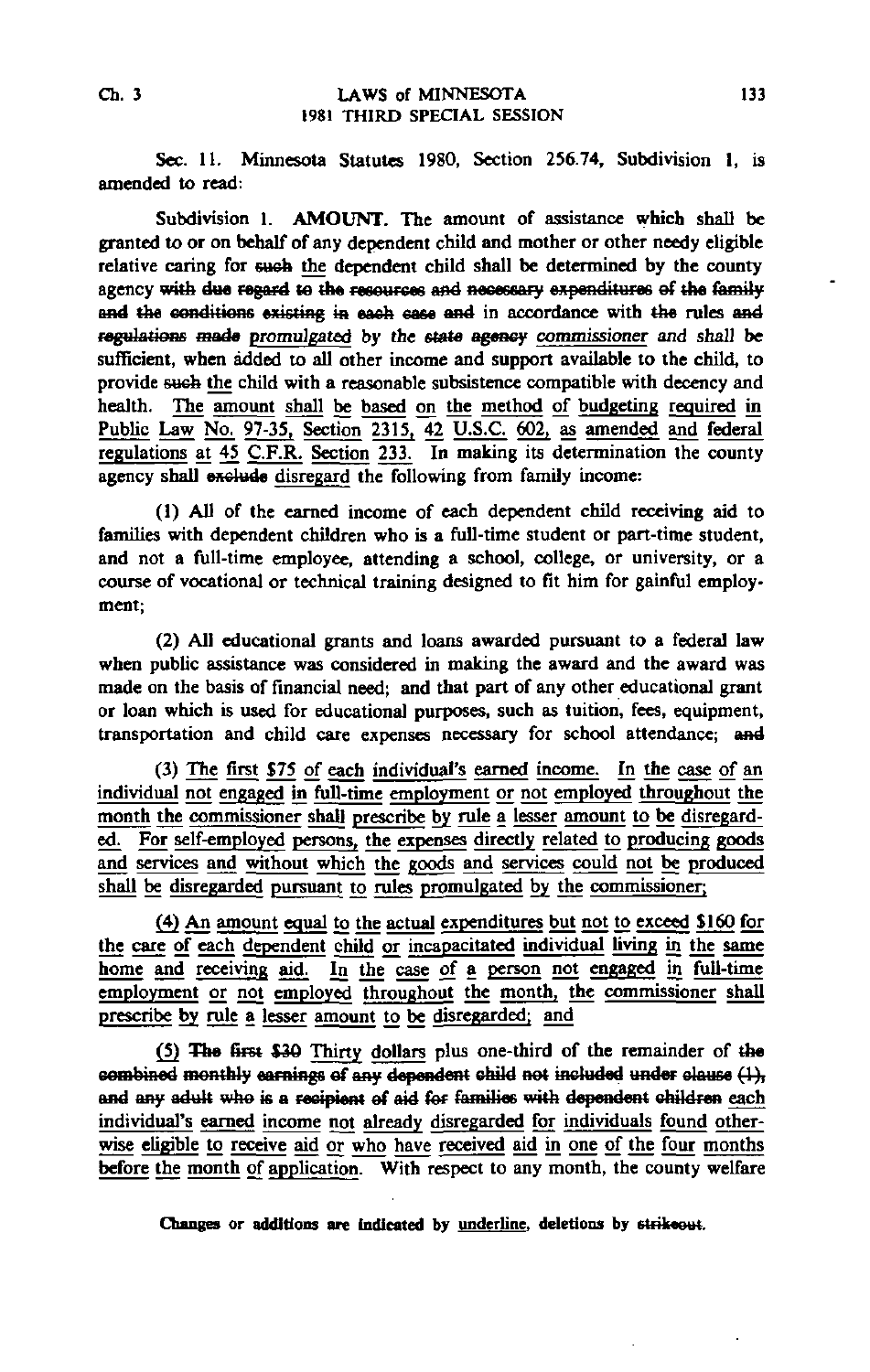Sec. 11. Minnesota Statutes 1980, Section 256.74, Subdivision 1, is amended to read:

Subdivision 1. AMOUNT. The amount of assistance which shall be granted to or on behalf of any dependent child and mother or other needy eligible relative caring for such the dependent child shall be determined by the county agency with due regard to the resources and necessary expenditures of the family and the conditions existing in each case and in accordance with the rules and regulations made promulgated by the state agency commissioner and shall be sufficient, when added to all other income and support available to the child, to provide sueb the child with a reasonable subsistence compatible with decency and health. The amount shall be based on the method of budgeting required in Public Law No. 97-35, Section 2315. 42 U.S.C. 602, as amended and federal regulations at 45 C.F.R. Section 233. In making its determination the county agency shall exclude disregard the following from family income:

(1) All of the earned income of each dependent child receiving aid to families with dependent children who is a full-time student or part-time student, and not a full-time employee, attending a school, college, or university, or a course of vocational or technical training designed to fit him for gainful employment;

(2) All educational grants and loans awarded pursuant to a federal law when public assistance was considered in making the award and the award was made on the basis of financial need; and that part of any other educational grant or loan which is used for educational purposes, such as tuition, fees, equipment, transportation and child care expenses necessary for school attendance; and

(3) The first \$75 of each individual's earned income. In the case of an individual not engaged in full-time employment or not employed throughout the month the commissioner shall prescribe by rule a lesser amount to be disregarded. For self-employed persons, the expenses directly related to producing goods and services and without which the goods and services could not be produced shall be disregarded pursuant to rules promulgated by the commissioner;

£4) An amount equal to the actual expenditures but not to exceed SI60 for the care of each dependent child or incapacitated individual living in the same home and receiving aid. In the case of a person not engaged in full-time employment or not employed throughout the month, the commissioner shall prescribe by rule a lesser amount to be disregarded; and

(5) The first \$36 Thirty dollars plus one-third of the remainder of the combined monthly earnings of any dependent child not included under clause  $(1)$ , and any adult who is a recipient of aid for families with dependent children each individual's earned income not already disregarded for individuals found otherwise eligible to receive aid or who have received aid in one of the four months before the month of application. With respect to any month, the county welfare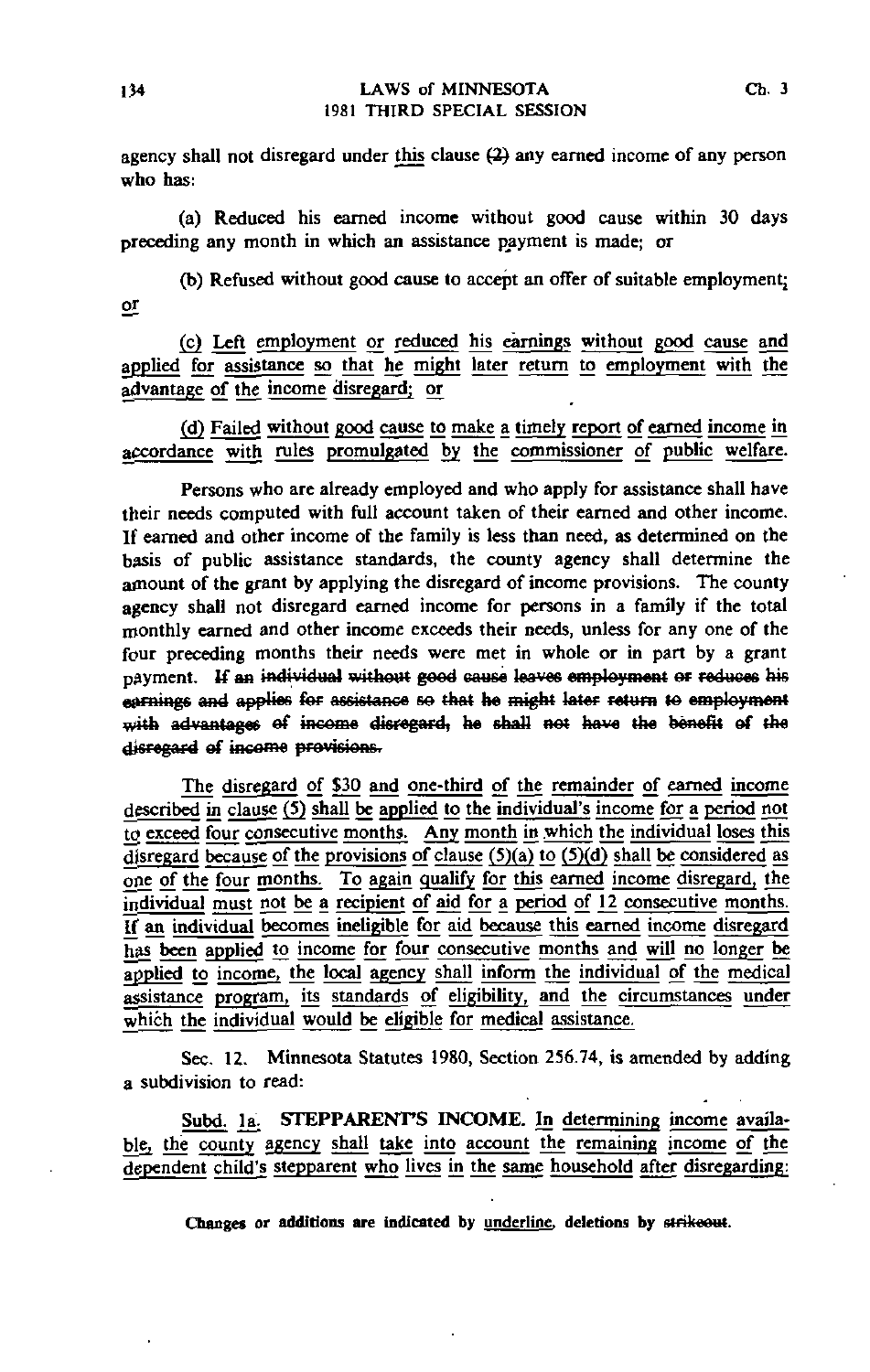agency shall not disregard under this clause (2) any earned income of any person who has:

(a) Reduced his earned income without good cause within 30 days preceding any month in which an assistance payment is made; or

(b) Refused without good cause to accept an offer of suitable employment; or

(c) Left employment or reduced his earnings without good cause and applied for assistance so that he might later return to employment with the advantage of the income disregard; or

(d) Failed without good cause to make a timely report of earned income in accordance with rules promulgated by the commissioner of public welfare.

Persons who are already employed and who apply for assistance shall have their needs computed with full account taken of their earned and other income. If earned and other income of the family is less than need, as determined on the basis of public assistance standards, the county agency shall determine the amount of the grant by applying the disregard of income provisions. The county agency shall not disregard earned income for persons in a family if the total monthly earned and other income exceeds their needs, unless for any one of the four preceding months their needs were met in whole or in part by a grant payment. If an individual without good cause leaves employment or reduces his earnings and applies for assistance so that he might later return to employment with advantages of income disregard, he shall not have the benefit of the disregard of income provisions.

The disregard of \$30 and one-third of the remainder of earned income described in clause (5) shall be applied to the individual's income for a period not to exceed four consecutive months. Any month in which the individual loses this disregard because of the provisions of clause  $(5)(a)$  to  $(5)(d)$  shall be considered as one of the four months. To again qualify for this earned income disregard, the individual must not be a recipient of aid for a period of 12 consecutive months. If an individual becomes ineligible for aid because this earned income disregard has been applied to income for four consecutive months and will no longer be applied to income, the local agency shall inform the individual of the medical assistance program, its standards of eligibility, and the circumstances under which the individual would be eligible for medical assistance.

Sec, 12. Minnesota Statutes 1980, Section 256.74, is amended by adding a subdivision to read:

Subd. 1a. STEPPARENT'S INCOME. In determining income available, the county agency shall take into account the remaining income of the dependent child's stepparent who lives in the same household after disregarding: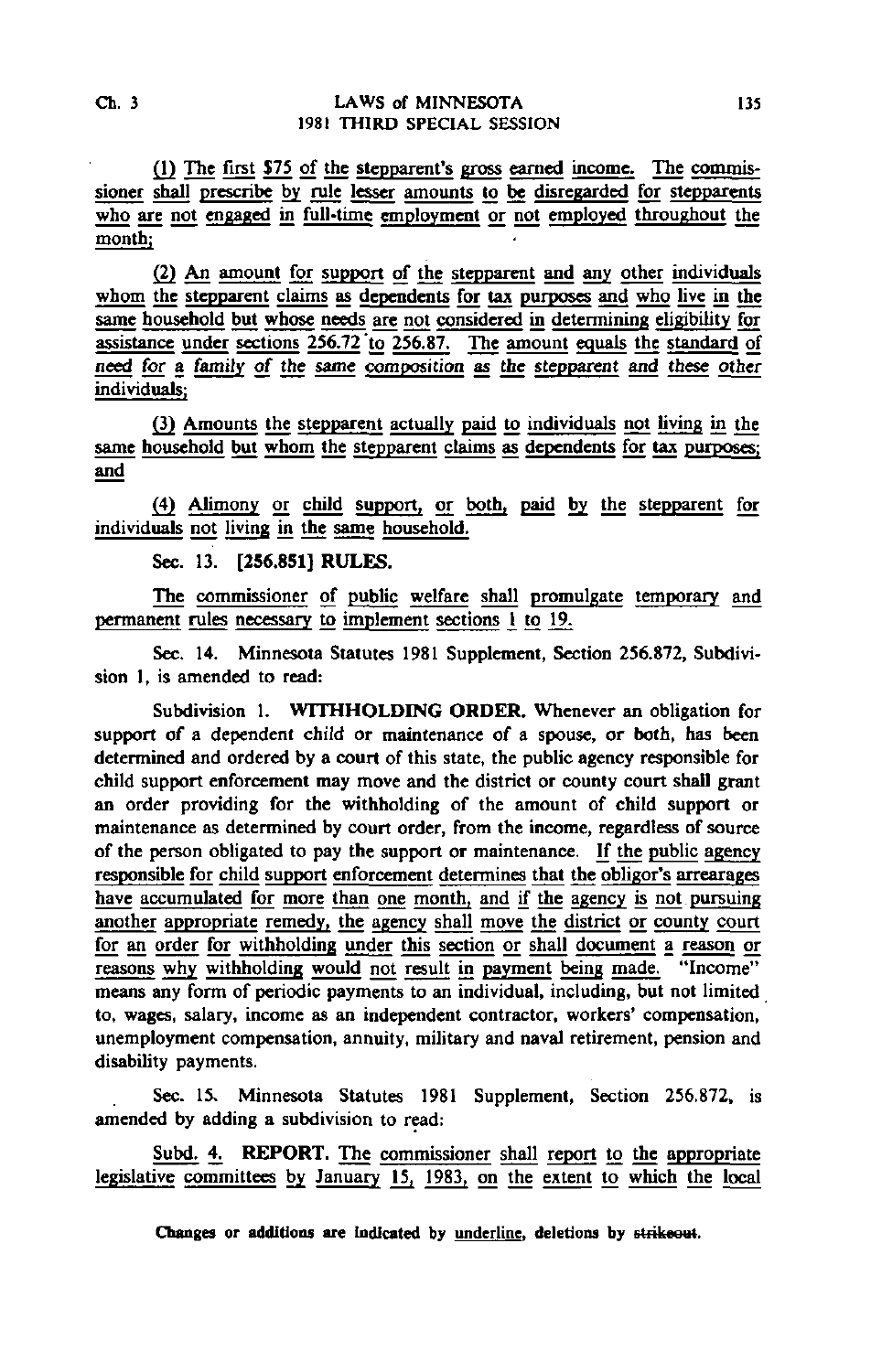(1) The first \$75 of the stepparent's gross earned income. The commissioner shall prescribe by rule lesser amounts to be disregarded for stepparents who are not engaged in full-time employment or not employed throughout the month;

(2) An amount for support of the stepparent and any other individuals whom the stepparent claims as dependents for tax purposes and who live in the same household but whose needs are not considered in determining eligibility for assistance under sections 256.72 to 256.87. The amount equals the standard of need for a family of the same composition as the stepparent and these other individuals;

(3) Amounts the stepparent actually paid to individuals not living in the same household but whom the stepparent claims as dependents for tax purposes; and

(4) Alimony or child support, or both, paid by the stepparent for individuals not living in the same household.

Sec. 13. [256.851] RULES.

The commissioner of public welfare shall promulgate temporary and permanent rules necessary to implement sections 1 to 19.

Sec. 14. Minnesota Statutes 1981 Supplement, Section 256.872, Subdivision 1, is amended to read:

Subdivision 1. WITHHOLDING ORDER. Whenever an obligation for support of a dependent child or maintenance of a spouse, or both, has been determined and ordered by a court of this state, the public agency responsible for child support enforcement may move and the district or county court shall grant an order providing for the withholding of the amount of child support or maintenance as determined by court order, from the income, regardless of source of the person obligated to pay the support or maintenance. If the public agency responsible for child support enforcement determines that the obligor's arrearages have accumulated for more than one month, and if the agency is not pursuing another appropriate remedy, the agency shall move the district or county court for an order for withholding under this section or shall document a reason or reasons why withholding would not result in payment being made. "Income" means any form of periodic payments to an individual, including, but not limited to, wages, salary, income as an independent contractor, workers' compensation, unemployment compensation, annuity, military and naval retirement, pension and disability payments.

Sec. 15, Minnesota Statutes 1981 Supplement, Section 256.872, is amended by adding a subdivision to read:

Subd. 4. REPORT. The commissioner shall report to the appropriate legislative committees by January 15, 1983, on the extent to which the local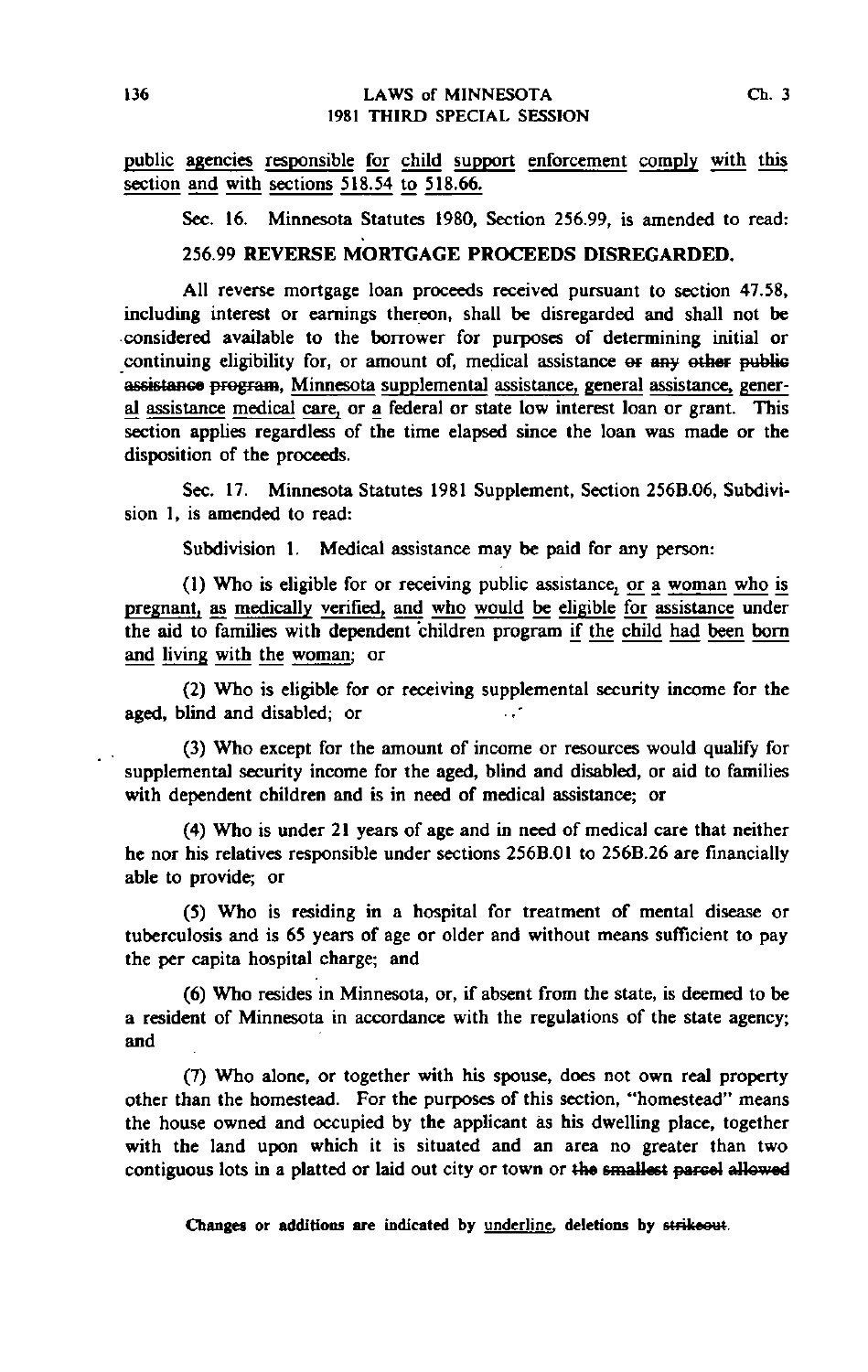public agencies responsible for child support enforcement comply with this section and with sections 518.54 to 518.66.

Sec. 16. Minnesota Statutes 1980, Section 256.99, is amended to read:

# 256.99 REVERSE MORTGAGE PROCEEDS DISREGARDED.

All reverse mortgage loan proceeds received pursuant to section 47.58, including interest or earnings thereon, shall be disregarded and shall not be considered available to the borrower for purposes of determining initial or continuing eligibility for, or amount of, medical assistance or any other public assistance program, Minnesota supplemental assistance, general assistance, general assistance medical care, or a federal or state low interest loan or grant. This section applies regardless of the time elapsed since the loan was made or the disposition of the proceeds.

Sec. 17. Minnesota Statutes 1981 Supplement, Section 256B.06, Subdivision 1, is amended to read:

Subdivision 1. Medical assistance may be paid for any person:

(1) Who is eligible for or receiving public assistance^ or a woman who is pregnant, as medically verified, and who would be eligible for assistance under the aid to families with dependent children program if the child had been born and living with the woman; or

(2) Who is eligible for or receiving supplemental security income for the aged, blind and disabled; or - -

(3) Who except for the amount of income or resources would qualify for supplemental security income for the aged, blind and disabled, or aid to families with dependent children and is in need of medical assistance; or

(4) Who is under 21 years of age and in need of medical care that neither he nor his relatives responsible under sections 256B.01 to 256B.26 are financially able to provide; or

(5) Who is residing in a hospital for treatment of mental disease or tuberculosis and is 65 years of age or older and without means sufficient to pay the per capita hospital charge; and

(6) Who resides in Minnesota, or, if absent from the state, is deemed to be a resident of Minnesota in accordance with the regulations of the state agency; and

(7) Who alone, or together with his spouse, does not own real property other than the homestead. For the purposes of this section, "homestead" means the house owned and occupied by the applicant as his dwelling place, together with the land upon which it is situated and an area no greater than two contiguous lots in a platted or laid out city or town or the smallest parcel allowed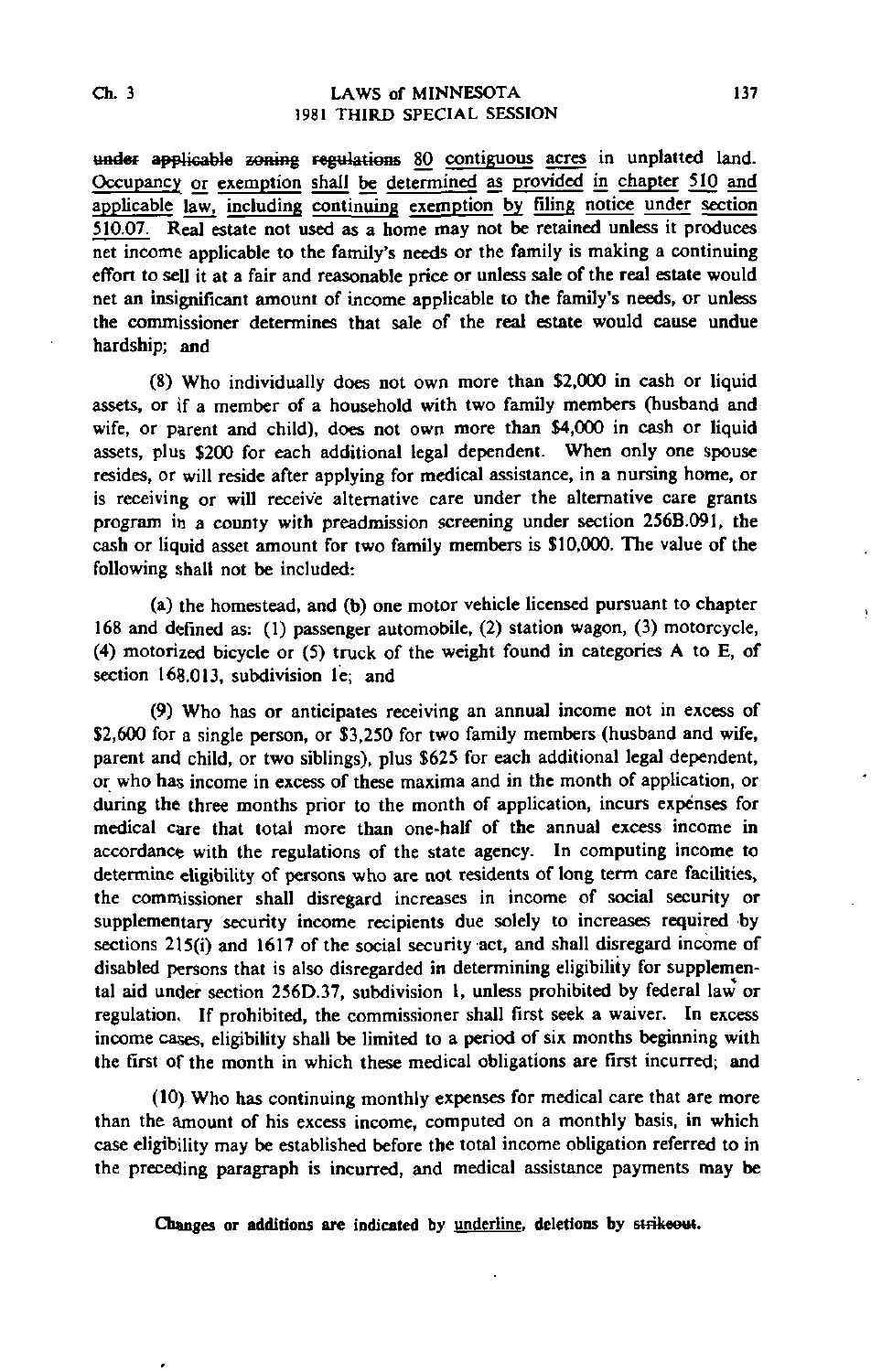#### Ch. 3 LAWS of MINNESOTA 137 1981 THIRD SPECIAL SESSION

under applicable zoning regulations 80 contiguous acres in unplatted land. Occupancy or exemption shall be determined as provided in chapter 510 and applicable law, including continuing exemption by filing notice under section 510.07. Real estate not used as a home may not be retained unless it produces net income applicable to the family's needs or the family is making a continuing effort to sell it at a fair and reasonable price or unless sale of the real estate would net an insignificant amount of income applicable to the family's needs, or unless the commissioner determines that sale of the real estate would cause undue hardship; and

(8) Who individually does not own more than \$2,000 in cash or liquid assets, or if a member of a household with two family members (husband and wife, or parent and child), does not own more than \$4,000 in cash or liquid assets, plus \$200 for each additional legal dependent. When only one spouse resides, or will reside after applying for medical assistance, in a nursing home, or is receiving or will receive alternative care under the alternative care grants program in a county with preadmission screening under section 256B.091, the cash or liquid asset amount for two family members is \$10,000. The value of the following shall not be included:

(a) the homestead, and (b) one motor vehicle licensed pursuant to chapter 168 and defined as: (1) passenger automobile, (2) station wagon, (3) motorcycle, (4) motorized bicycle or (5) truck of the weight found in categories A to E, of section 168.013, subdivision le; and

(9) Who has or anticipates receiving an annual income not in excess of \$2,600 for a single person, or \$3,250 for two family members (husband and wife, parent and child, or two siblings), plus \$625 for each additional legal dependent, or who has income in excess of these maxima and in the month of application, or during the three months prior to the month of application, incurs expenses for medical care that total more than one-half of the annual excess income in accordance with the regulations of the state agency. In computing income to determine eligibility of persons who are not residents of long term care facilities, the commissioner shall disregard increases in income of social security or supplementary security income recipients due solely to increases required by sections 2l5(i) and 1617 of the social security act, and shall disregard income of disabled persons that is also disregarded in determining eligibility for supplemental aid under section 256D.37, subdivision 1, unless prohibited by federal law or regulation, If prohibited, the commissioner shall first seek a waiver. In excess income cases, eligibility shall be limited to a period of six months beginning with the first of the month in which these medical obligations are first incurred; and

(10) Who has continuing monthly expenses for medical care that are more than the amount of his excess income, computed on a monthly basis, in which case eligibility may be established before the total income obligation referred to in the preceding paragraph is incurred, and medical assistance payments may be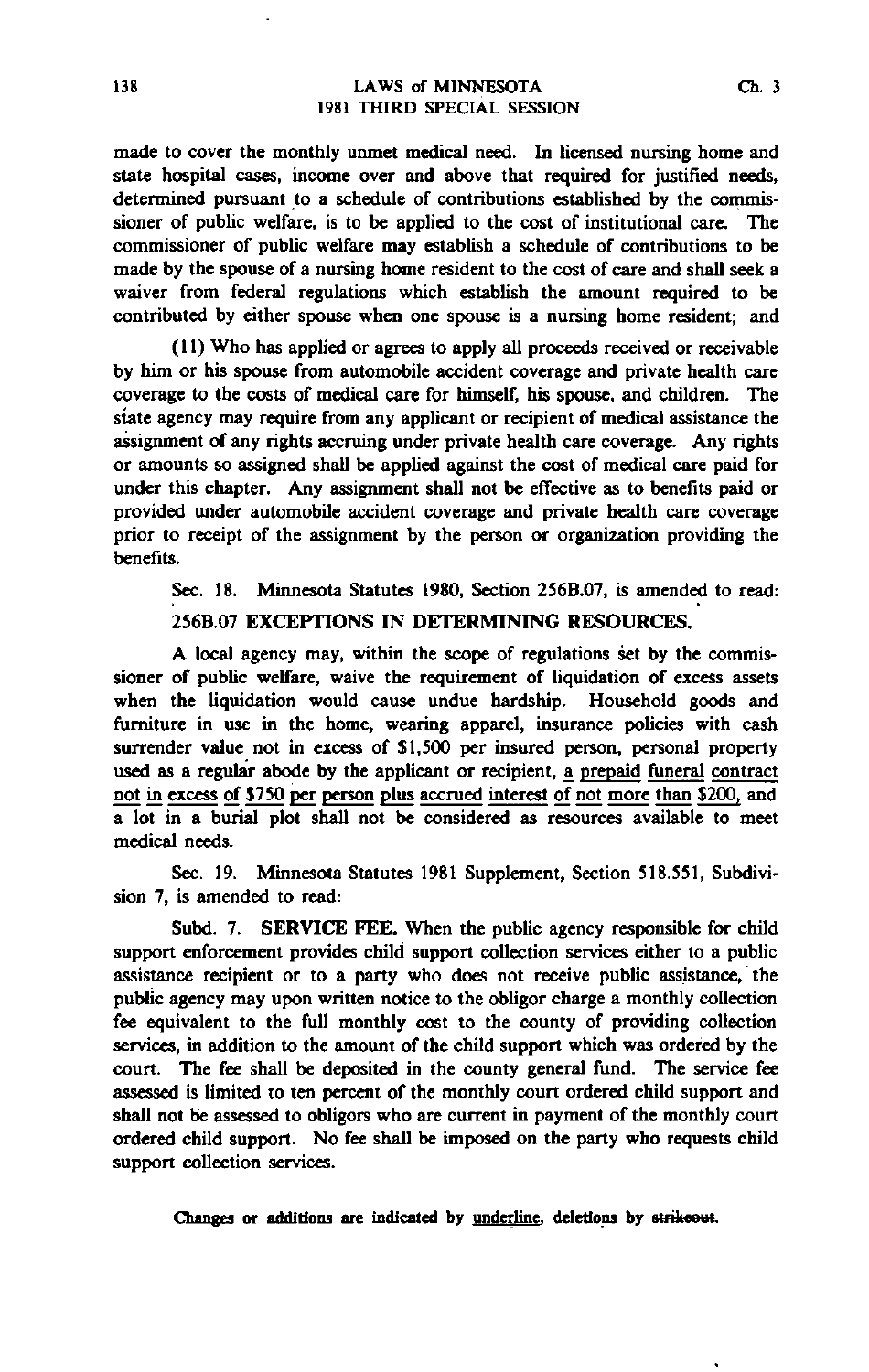made to cover the monthly unmet medical need. In licensed nursing home and state hospital cases, income over and above that required for justified needs, determined pursuant to a schedule of contributions established by the commissioner of public welfare, is to be applied to the cost of institutional care. The commissioner of public welfare may establish a schedule of contributions to be made by the spouse of a nursing home resident to the cost of care and shall seek a waiver from federal regulations which establish the amount required to be contributed by either spouse when one spouse is a nursing home resident; and

(11) Who has applied or agrees to apply all proceeds received or receivable by him or his spouse from automobile accident coverage and private health care coverage to the costs of medical care for himself, his spouse, and children. The state agency may require from any applicant or recipient of medical assistance the assignment of any rights accruing under private health care coverage. Any rights or amounts so assigned shall be applied against the cost of medical care paid for under this chapter. Any assignment shall not be effective as to benefits paid or provided under automobile accident coverage and private health care coverage prior to receipt of the assignment by the person or organization providing the benefits.

Sec. 18. Minnesota Statutes 1980, Section 256B.07, is amended to read:

# 256B.07 EXCEPTIONS IN DETERMINING RESOURCES.

A local agency may, within the scope of regulations set by the commissioner of public welfare, waive the requirement of liquidation of excess assets when the liquidation would cause undue hardship. Household goods and furniture in use in the home, wearing apparel, insurance policies with cash surrender value not in excess of \$1,500 per insured person, personal property used as a regular abode by the applicant or recipient, a prepaid funeral contract not in excess of \$750 per person plus accrued interest of not more than \$200, and a lot in a burial plot shall not be considered as resources available to meet medical needs.

Sec. 19. Minnesota Statutes 1981 Supplement, Section 518.551, Subdivision 7, is amended to read:

Subd. 7. SERVICE FEE. When the public agency responsible for child support enforcement provides child support collection services either to a public assistance recipient or to a party who does not receive public assistance, the public agency may upon written notice to the obligor charge a monthly collection fee equivalent to the full monthly cost to the county of providing collection services, in addition to the amount of the child support which was ordered by the court. The fee shall be deposited in the county general fund. The service fee assessed is limited to ten percent of the monthly court ordered child support and shall not be assessed to obligors who are current in payment of the monthly court ordered child support. No fee shall be imposed on the party who requests child support collection services.